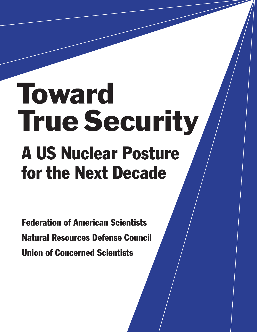# Toward **True Security A US Nuclear Posture** for the Next Decade

**Federation of American Scientists Natural Resources Defense Council Union of Concerned Scientists**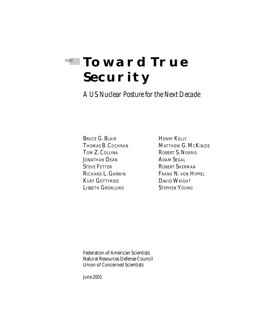## **TOWARD TRUE Security**

*A US Nuclear Posture for the Next Decade*

BRUCE G. BLAIR HENRY KELLY TOM Z. COLLINA ROBERT S. NORRIS JONATHAN DEAN ADAM SEGAL STEVE FETTER ROBERT SHERMAN KURT GOTTFRIED DAVID WRIGHT<br>LISBETH GRONLUND STEPHEN YOUNG LISBETH GRONLUND

THOMAS B. COCHRAN MATTHEW G. MCKINZIE RICHARD L. GARWIN FRANK N. VON HIPPEL

Federation of American Scientists Natural Resources Defense Council Union of Concerned Scientists

*June 2001*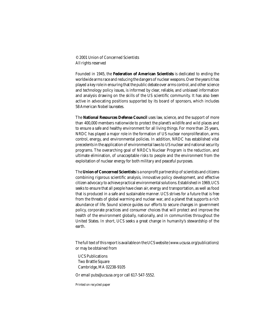© 2001 Union of Concerned Scientists All rights reserved

Founded in 1945, the **Federation of American Scientists** is dedicated to ending the worldwide arms race and reducing the dangers of nuclear weapons. Over the years it has played a key role in ensuring that the public debate over arms control, and other science and technology policy issues, is informed by clear, reliable, and unbiased information and analysis drawing on the skills of the US scientific community. It has also been active in advocating positions supported by its board of sponsors, which includes 58 American Nobel laureates.

The **National Resources Defense Council** uses law, science, and the support of more than 400,000 members nationwide to protect the planet's wildlife and wild places and to ensure a safe and healthy environment for all living things. For more than 25 years, NRDC has played a major role in the formation of US nuclear nonproliferation, arms control, energy, and environmental policies. In addition, NRDC has established vital precedents in the application of environmental laws to US nuclear and national security programs. The overarching goal of NRDC's Nuclear Program is the reduction, and ultimate elimination, of unacceptable risks to people and the environment from the exploitation of nuclear energy for both military and peaceful purposes.

The **Union of Concerned Scientists** is a nonprofit partnership of scientists and citizens combining rigorous scientific analysis, innovative policy development, and effective citizen advocacy to achieve practical environmental solutions. Established in 1969, UCS seeks to ensure that all people have clean air, energy and transportation, as well as food that is produced in a safe and sustainable manner. UCS strives for a future that is free from the threats of global warming and nuclear war, and a planet that supports a rich abundance of life. Sound science guides our efforts to secure changes in government policy, corporate practices and consumer choices that will protect and improve the health of the environment globally, nationally, and in communities throughout the United States. In short, UCS seeks a great change in humanity's stewardship of the earth.

The full text of this report is available on the UCS website (*www.ucsusa.org/publications*) or may be obtained from

 UCS Publications Two Brattle Square Cambridge, MA 02238-9105

Or email *pubs@ucsusa.org* or call 617-547-5552.

Printed on recycled paper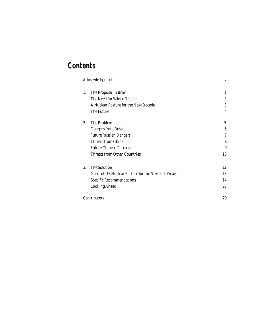## **Contents**

| <b>Acknowledgements</b> |                                                     | V                |
|-------------------------|-----------------------------------------------------|------------------|
| 1.                      | The Proposal in Brief                               | 1                |
|                         | The Need for Wider Debate                           | $\boldsymbol{2}$ |
|                         | A Nuclear Posture for the Next Decade               | 3                |
|                         | The Future                                          | 4                |
| 2.                      | The Problem                                         | 5                |
|                         | Dangers from Russia                                 | 5                |
|                         | <b>Future Russian Dangers</b>                       | $\tau$           |
|                         | Threats from China                                  | 8                |
|                         | <b>Future Chinese Threats</b>                       | 9                |
|                         | <b>Threats from Other Countries</b>                 | 10               |
| 3.                      | The Solution                                        | 13               |
|                         | Goals of US Nuclear Posture for the Next 5-10 Years | 13               |
|                         | <b>Specific Recommendations</b>                     | 14               |
|                         | <b>Looking Ahead</b>                                | 27               |
| <b>Contributors</b>     |                                                     | 29               |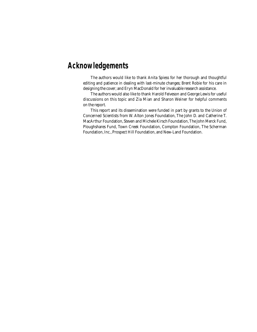## **Acknowledgements**

The authors would like to thank Anita Spiess for her thorough and thoughtful editing and patience in dealing with last-minute changes; Brent Robie for his care in designing the cover; and Eryn MacDonald for her invaluable research assistance.

The authors would also like to thank Harold Feiveson and George Lewis for useful discussions on this topic and Zia Mian and Sharon Weiner for helpful comments on the report.

This report and its dissemination were funded in part by grants to the Union of Concerned Scientists from W. Alton Jones Foundation, The John D. and Catherine T. MacArthur Foundation, Steven and Michele Kirsch Foundation, The John Merck Fund, Ploughshares Fund, Town Creek Foundation, Compton Foundation, The Scherman Foundation, Inc., Prospect Hill Foundation, and New-Land Foundation.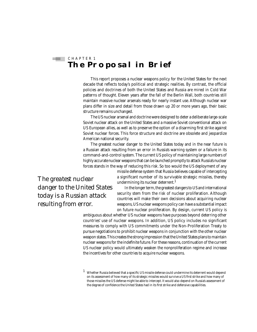#### $\equiv$  CHAPTER 1 **The Proposal in Brief**

This report proposes a nuclear weapons policy for the United States for the next decade that reflects today's political and strategic realities. By contrast, the official policies and doctrines of both the United States and Russia are mired in Cold War patterns of thought. Eleven years after the fall of the Berlin Wall, both countries still maintain massive nuclear arsenals ready for nearly instant use. Although nuclear war plans differ in size and detail from those drawn up 20 or more years ago, their basic structure remains unchanged.

The US nuclear arsenal and doctrine were designed to deter a deliberate large-scale Soviet nuclear attack on the United States and a massive Soviet conventional attack on US European allies, as well as to preserve the option of a disarming first strike against Soviet nuclear forces. This force structure and doctrine are obsolete and jeopardize American national security.

The greatest nuclear danger to the United States today and in the near future is a Russian attack resulting from an error in Russia's warning system or a failure in its command-and-control system. The current US policy of maintaining large numbers of highly accurate nuclear weapons that can be launched promptly to attack Russia's nuclear forces stands in the way of reducing this risk. So too would the US deployment of any

> missile defense system that Russia believes capable of intercepting a significant number of its survivable strategic missiles, thereby undermining its nuclear deterrent. $<sup>1</sup>$ </sup>

*resulting from error.*

In the longer term, the greatest dangers to US and international security stem from the risk of nuclear proliferation. Although countries will make their own decisions about acquiring nuclear weapons, US nuclear weapons policy can have a substantial impact on future nuclear proliferation. By design, current US policy is

ambiguous about whether US nuclear weapons have purposes beyond deterring other countries' use of nuclear weapons. In addition, US policy includes no significant measures to comply with US commitments under the Non-Proliferation Treaty to pursue negotiations to prohibit nuclear weapons in conjunction with the other nuclear weapon states. This creates the strong impression that the United States plans to maintain nuclear weapons for the indefinite future. For these reasons, continuation of the current US nuclear policy would ultimately weaken the nonproliferation regime and increase the incentives for other countries to acquire nuclear weapons.

*The greatest nuclear danger to the United States today is a Russian attack* 

 $1$  Whether Russia believed that a specific US missile defense could undermine its deterrent would depend on its assessment of how many of its strategic missiles would survive a US first strike and how many of those missiles the US defense might be able to intercept. It would also depend on Russia's assessment of the degree of confidence the United States had in its first strike and defensive capabilities.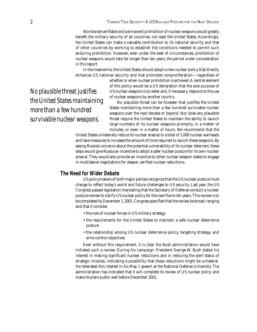Worldwide verifiable and permanent prohibition of nuclear weapons would greatly benefit the military security of all countries, not least the United States. Accordingly, the United States can make a valuable contribution to its national security and that of other countries by working to establish the conditions needed to permit such enduring prohibition. However, even under the best of circumstances, prohibition of nuclear weapons would take far longer than ten years, the period under consideration in this report.

In the meanwhile, the United States should adopt a new nuclear policy that directly enhances US national security and that promotes nonproliferation—regardless of

whether or when nuclear prohibition is achieved. A central element of this policy would be a US declaration that the sole purpose of US nuclear weapons is to deter and, if necessary, respond to the use of nuclear weapons by another country.

No plausible threat can be foreseen that justifies the United States maintaining more than a few hundred survivable nuclear weapons over the next decade or beyond. Nor does any plausible threat require the United States to maintain the ability to launch large numbers of its nuclear weapons promptly, in a matter of minutes, or even in a matter of hours. We recommend that the

United States unilaterally reduce its nuclear arsenal to a total of 1,000 nuclear warheads and take measures to increase the amount of time required to launch these weapons. By easing Russia's concerns about the potential vulnerability of its nuclear deterrent, these steps would give Russia an incentive to adopt a safer nuclear posture for its own nuclear arsenal. They would also provide an incentive to other nuclear weapon states to engage in multilateral negotiations for deeper, verified nuclear reductions.

#### **The Need for Wider Debate**

US policymakers of both major parties recognize that the US nuclear posture must change to reflect today's world and future challenges to US security. Last year, the US Congress passed legislation mandating that the Secretary of Defense conduct a nuclear posture review to clarify US nuclear policy for the next five to ten years. This review is to be completed by December 1, 2001. Congress specified that the review be broad-ranging and that it consider

- the role of nuclear forces in US military strategy
- the requirements for the United States to maintain a safe nuclear deterrence posture
- the relationship among US nuclear deterrence policy, targeting strategy, and arms control objectives

Even without this requirement, it is clear the Bush administration would have initiated such a review. During his campaign, President George W. Bush stated his interest in making significant nuclear reductions and in reducing the alert status of strategic missiles, indicating a possibility that these reductions might be unilateral. He reiterated this interest in his May 1 speech at the National Defense University. The administration has indicated that it will complete its review of US nuclear policy and make its plans public well before December 2001.

*No plausible threat justifies the United States maintaining more than a few hundred survivable nuclear weapons.*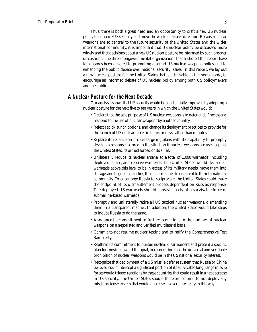Thus, there is both a great need and an opportunity to craft a new US nuclear policy to enhance US security and move the world in a safer direction. Because nuclear weapons are so central to the future security of the United States and the wider international community, it is important that US nuclear policy be discussed more widely and that decisions about a new US nuclear posture be informed by such broader discussions. The three nongovernmental organizations that authored this report have for decades been devoted to promoting a sound US nuclear weapons policy and to enhancing the public debate over national security issues. In this report, we lay out a new nuclear posture for the United States that is achievable in the next decade, to encourage an informed debate of US nuclear policy among both US policymakers and the public.

#### **A Nuclear Posture for the Next Decade**

Our analysis shows that US security would be substantially improved by adopting a nuclear posture for the next five to ten years in which the United States would:

- Declare that the sole purpose of US nuclear weapons is to deter and, if necessary, respond to the use of nuclear weapons by another country.
- Reject rapid-launch options, and change its deployment practices to provide for the launch of US nuclear forces in hours or days rather than minutes.
- Replace its reliance on pre-set targeting plans with the capability to promptly develop a response tailored to the situation if nuclear weapons are used against the United States, its armed forces, or its allies.
- Unilaterally reduce its nuclear arsenal to a total of 1,000 warheads, including deployed, spare, and reserve warheads. The United States would declare all warheads above this level to be in excess of its military needs, move them into storage, and begin dismantling them in a manner transparent to the international community. To encourage Russia to reciprocate, the United States could make the endpoint of its dismantlement process dependent on Russia's response. The deployed US warheads should consist largely of a survivable force of submarine-based warheads.
- Promptly and unilaterally retire all US tactical nuclear weapons, dismantling them in a transparent manner. In addition, the United States would take steps to induce Russia to do the same.
- Announce its commitment to further reductions in the number of nuclear weapons, on a negotiated and verified multilateral basis.
- Commit to not resume nuclear testing and to ratify the Comprehensive Test Ban Treaty.
- Reaffirm its commitment to pursue nuclear disarmament and present a specific plan for moving toward this goal, in recognition that the universal and verifiable prohibition of nuclear weapons would be in the US national security interest.
- Recognize that deployment of a US missile defense system that Russia or China believed could intercept a significant portion of its survivable long-range missile forces would trigger reactions by these countries that could result in a net decrease in US security. The United States should therefore commit to not deploy any missile defense system that would decrease its overall security in this way.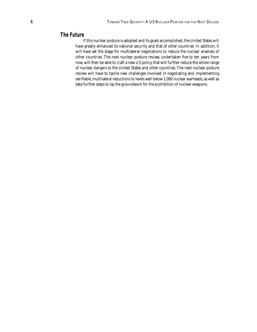#### **The Future**

If this nuclear posture is adopted and its goals accomplished, the United States will have greatly enhanced its national security and that of other countries. In addition, it will have set the stage for multilateral negotiations to reduce the nuclear arsenals of other countries. The next nuclear posture review, undertaken five to ten years from now, will then be able to craft a new US policy that will further reduce the whole range of nuclear dangers to the United States and other countries. The next nuclear posture review will have to tackle new challenges involved in negotiating and implementing verifiable, multilateral reductions to levels well below 1,000 nuclear warheads, as well as take further steps to lay the groundwork for the prohibition of nuclear weapons.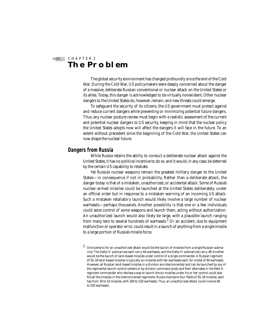#### $\equiv$  CHAPTER 2 **The Problem**

The global security environment has changed profoundly since the end of the Cold War. During the Cold War, US policymakers were deeply concerned about the danger of a massive, deliberate Russian conventional or nuclear attack on the United States or its allies. Today, this danger is acknowledged to be virtually nonexistent. Other nuclear dangers to the United States do, however, remain, and new threats could emerge.

To safeguard the security of its citizens, the US government must protect against and reduce current dangers while preventing or minimizing potential future dangers. Thus, any nuclear posture review must begin with a realistic assessment of the current and potential nuclear dangers to US security, keeping in mind that the nuclear policy the United States adopts now will affect the dangers it will face in the future. To an extent without precedent since the beginning of the Cold War, the United States can now shape the nuclear future.

#### **Dangers from Russia**

While Russia retains the ability to conduct a deliberate nuclear attack against the United States, it has no political incentive to do so, and it would, in any case, be deterred by the certain US capability to retaliate.

Yet Russia's nuclear weapons remain the greatest military danger to the United States—in consequence if not in probability. Rather than a deliberate attack, the danger today is that of a mistaken, unauthorized, or accidental attack. Some of Russia's nuclear-armed missiles could be launched at the United States deliberately, under an official order but in response to a mistaken warning of an incoming US attack. Such a mistaken retaliatory launch would likely involve a large number of nuclear warheads—perhaps thousands. Another possibility is that one or a few individuals could seize control of some weapons and launch them, acting without authorization. An unauthorized launch would also likely be large, with a plausible launch ranging from many tens to several hundreds of warheads. $^2$  Or an accident, due to equipment malfunction or operator error, could result in a launch of anything from a single missile to a large portion of Russia's missile force.

 $2$  One scenario for an unauthorized attack would be the launch of missiles from a single Russian submarine. The Delta IV submarines each carry 64 warheads, and the Delta III submarines carry 48. Another would be the launch of land-based missiles under control of a single commander. A Russian regiment of SS-18 land-based missiles is typically six missiles with ten warheads each, for a total of 60 warheads. However, all Russian land-based missiles in a division are interconnected and can be launched by any of the regimental launch control centers or by division command posts and their alternates in the field. A regiment commander who devises a way to launch the six missiles under his or her control could also fire all the missiles in the interconnected regiments. Russia maintains four fields of SS-18 missiles; each has from 30 to 52 missiles, with 300 to 520 warheads. Thus, an unauthorized attack could involve 48 to 520 warheads.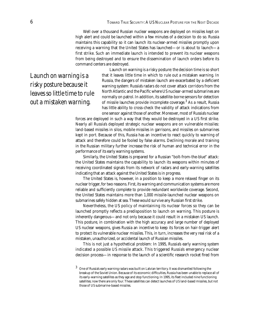Well over a thousand Russian nuclear weapons are deployed on missiles kept on high alert and could be launched within a few minutes of a decision to do so. Russia maintains this capability so it can launch its nuclear-armed missiles promptly upon receiving a warning that the United States has launched—or is about to launch—a first strike. Such an immediate launch is intended to prevent its nuclear weapons from being destroyed and to ensure the dissemination of launch orders before its command centers are destroyed.

*Launch on warning is a risky posture because it leaves so little time to rule out a mistaken warning.*

Launch on warning is a risky posture: the decision time is so short that it leaves little time in which to rule out a mistaken warning. In Russia, the dangers of mistaken launch are exacerbated by a deficient warning system: Russia's radars do not cover attack corridors from the North Atlantic and the Pacific where US nuclear-armed submarines are normally on patrol. In addition, its satellite-borne sensors for detection of missile launches provide incomplete coverage.<sup>3</sup> As a result, Russia has little ability to cross-check the validity of attack indications from one sensor against those of another. Moreover, most of Russia's nuclear

forces are deployed in such a way that they would be destroyed in a US first strike. Nearly all Russia's deployed strategic nuclear weapons are on vulnerable missiles: land-based missiles in silos, mobile missiles in garrisons, and missiles on submarines kept in port. Because of this, Russia has an incentive to react quickly to warning of attack and therefore could be fooled by false alarms. Declining morale and training in the Russian military further increase the risk of human and technical error in the performance of its early warning systems.

Similarly, the United States is prepared for a Russian "bolt-from-the-blue" attack: the United States maintains the capability to launch its weapons within minutes of receiving coordinated signals from its network of radars and early-warning satellites indicating that an attack against the United States is in progress.

The United States is, however, in a position to keep a more relaxed finger on its nuclear trigger, for two reasons. First, its warning and communication systems are more reliable and sufficiently complete to provide redundant worldwide coverage. Second, the United States maintains more than 1,000 missile-launched nuclear weapons on submarines safely hidden at sea. These would survive any Russian first strike.

Nevertheless, the US policy of maintaining its nuclear forces so they can be launched promptly reflects a predisposition to launch on warning. This posture is inherently dangerous—and not only because it could result in a mistaken US launch. This posture, in combination with the high accuracy and large number of deployed US nuclear weapons, gives Russia an incentive to keep its forces on hair-trigger alert to protect its vulnerable nuclear missiles. This, in turn, increases the very real risk of a mistaken, unauthorized, or accidental launch of Russian missiles.

This is not just a hypothetical problem: In 1995, Russia's early warning system indicated a possible US missile attack. This triggered Russia's emergency nuclear decision process—in response to the launch of a scientific research rocket fired from

<sup>3</sup> One of Russia's early warning radars was built on Latvian territory. It was dismantled following the breakup of the Soviet Union. Because of its economic difficulties, Russia has been unable to replace all of its early-warning satellites as they age and stop functioning. In 1995, its fleet included nine functioning satellites; now there are only four. These satellites can detect launches of US land-based missiles, but not those of US submarine-based missiles.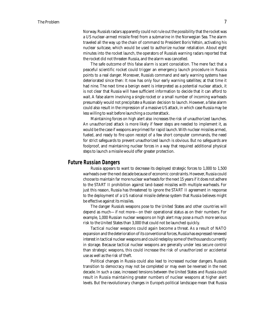Norway. Russia's radars apparently could not rule out the possibility that the rocket was a US nuclear-armed missile fired from a submarine in the Norwegian Sea. The alarm traveled all the way up the chain of command to President Boris Yeltsin, activating his nuclear suitcase, which would be used to authorize nuclear retaliation. About eight minutes into the rocket launch, the operators of Russia's warning radars reported that the rocket did not threaten Russia, and the alarm was cancelled.

The safe outcome of this false alarm is scant consolation. The mere fact that a peaceful scientific rocket could trigger an emergency launch procedure in Russia points to a real danger. Moreover, Russia's command and early warning systems have deteriorated since then: It now has only four early warning satellites; at that time it had nine. The next time a benign event is interpreted as a potential nuclear attack, it is not clear that Russia will have sufficient information to decide that it can afford to wait. A false alarm involving a single rocket or a small number of incoming warheads presumably would not precipitate a Russian decision to launch. However, a false alarm could also result in the impression of a massive US attack, in which case Russia may be less willing to wait before launching a counterattack.

Maintaining forces on high alert also increases the risk of unauthorized launches. An unauthorized attack is more likely if fewer steps are needed to implement it, as would be the case if weapons are primed for rapid launch. With nuclear missiles armed, fueled, and ready to fire upon receipt of a few short computer commands, the need for strict safeguards to prevent unauthorized launch is obvious. But no safeguards are foolproof, and maintaining nuclear forces in a way that required additional physical steps to launch a missile would offer greater protection.

#### **Future Russian Dangers**

Russia appears to want to decrease its deployed strategic forces to 1,000 to 1,500 warheads over the next decade because of economic constraints. However, Russia could choose to maintain far more nuclear warheads for the next 15 years if it does not adhere to the START II prohibition against land-based missiles with multiple warheads. For just this reason, Russia has threatened to ignore the START II agreement in response to the deployment of a US national missile defense system that Russia believes might be effective against its missiles.

The danger Russia's weapons pose to the United States and other countries will depend as much—if not more—on their operational status as on their numbers. For example, 1,000 Russian nuclear weapons on high alert may pose a much more serious risk to the United States than 3,000 that could not be launched quickly.

Tactical nuclear weapons could again become a threat. As a result of NATO expansion and the deterioration of its conventional forces, Russia has expressed renewed interest in tactical nuclear weapons and could redeploy some of the thousands currently in storage. Because tactical nuclear weapons are generally under less secure control than strategic weapons, this could increase the risk of unauthorized or accidental use as well as the risk of theft.

Political changes in Russia could also lead to increased nuclear dangers. Russia's transition to democracy may not be completed or may even be reversed in the next decade. In such a case, increased tensions between the United States and Russia could result in Russia maintaining greater numbers of nuclear weapons at higher alert levels. But the revolutionary changes in Europe's political landscape mean that Russia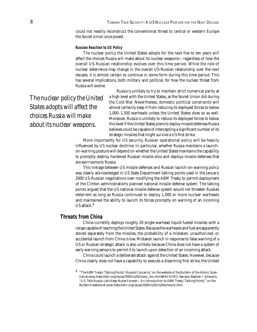could not readily reconstruct the conventional threat to central or western Europe the Soviet Union once posed.

#### **Russian Reaction to US Policy**

The nuclear policy the United States adopts for the next five to ten years will affect the choices Russia will make about its nuclear weapons—regardless of how the overall US-Russian relationship evolves over this time period. While the role of nuclear deterrence may change in the overall US-Russian relationship over the next decade, it is almost certain to continue in some form during this time period. This has several implications, both military and political, for how the nuclear threat from Russia will evolve.

*The nuclear policy the United States adopts will affect the choices Russia will make about its nuclear weapons.*

Russia is unlikely to try to maintain strict numerical parity at a high level with the United States, as the Soviet Union did during the Cold War. Nevertheless, domestic political constraints will almost certainly keep it from reducing its deployed forces to below 1,000–1,500 warheads unless the United States does so as well. Moreover, Russia is unlikely to reduce its deployed forces to below this level if the United States plans to deploy missile defenses Russia believes could be capable of intercepting a significant number of its strategic missiles that might survive a US first strike.

More importantly for US security, Russian operational policy will be heavily influenced by US nuclear doctrine. In particular, whether Russia maintains a launchon-warning posture will depend on whether the United States maintains the capability to promptly destroy hardened Russian missile silos and deploys missile defenses that are worrisome to Russia.

This linkage between US missile defenses and Russian launch-on-warning policy was clearly acknowledged in US State Department talking points used in the January 2000 US-Russian negotiations over modifying the ABM Treaty to permit deployment of the Clinton administration's planned national missile defense system. The talking points argued that the US national missile defense system would not threaten Russia's deterrent as long as Russia continued to deploy 1,000 or more nuclear warheads and maintained the ability to launch its forces promptly on warning of an incoming US attack.<sup>4</sup>

#### **Threats from China**

China currently deploys roughly 20 single-warhead liquid-fueled missiles with a range capable of reaching the United States. Because the warheads and fuel are apparently stored separately from the missiles, the probability of a mistaken, unauthorized, or accidental launch from China is low. Mistaken launch in response to false warning of a US or Russian strategic attack is also unlikely because China does not have a system of early warning sensors to permit it to launch upon detection of an incoming attack.

China could launch a deliberate attack against the United States. However, because China clearly does not have a capability to execute a disarming first strike, the United

<sup>4 &</sup>quot;The ABM Treaty 'Talking Points': Russia's Concerns," on the website of the *Bulletin of the Atomic Scientists* at *www.thebulletin.org/issues/2000/mj00/treaty\_doc.html#ANCHOR3.* See also Stephen I. Schwartz, "U.S. Tells Russia: Let's Keep Nukes Forever—An Introduction to ABM Treaty 'Talking Points'," on the Bulletin's website at *www.thebulletin.org/issues/2000/mj00/mj00schwartz.html.*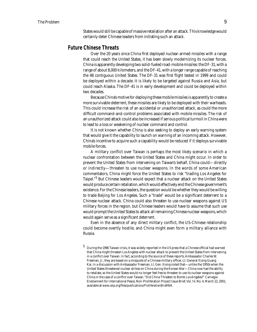States would still be capable of massive retaliation after an attack. This knowledge would certainly deter Chinese leaders from initiating such an attack.

#### **Future Chinese Threats**

Over the 20 years since China first deployed nuclear-armed missiles with a range that could reach the United States, it has been slowly modernizing its nuclear forces. China is apparently developing two solid-fueled road-mobile missiles: the DF-31, with a range of about 8,000 kilometers, and the DF-41, with a longer range capable of reaching the 48 contiguous United States. The DF-31 was first flight tested in 1999 and could be deployed within a decade. It is likely to be targeted against Russia and Asia, but could reach Alaska. The DF-41 is in early development and could be deployed within two decades.

Because China's motive for deploying these mobile missiles is apparently to create a more survivable deterrent, these missiles are likely to be deployed with their warheads. This could increase the risk of an accidental or unauthorized attack, as could the more difficult command-and-control problems associated with mobile missiles. The risk of an unauthorized attack could also be increased if serious political turmoil in China were to lead to a loss or weakening of nuclear command and control.

It is not known whether China is also seeking to deploy an early warning system that would give it the capability to launch on warning of an incoming attack. However, China's incentive to acquire such a capability would be reduced if it deploys survivable mobile forces.

A military conflict over Taiwan is perhaps the most likely scenario in which a nuclear confrontation between the United States and China might occur. In order to prevent the United States from intervening on Taiwan's behalf, China could—directly or indirectly—threaten to use nuclear weapons. In the words of some American commentators, China might force the United States to risk "trading Los Angeles for Taipei."<sup>5</sup> But Chinese leaders would expect that a nuclear attack on the United States would produce certain retaliation, which would effectively end the Chinese government's existence. For the Chinese leaders, the question would be whether they would be willing to trade Beijing for Los Angeles. Such a "trade" would be a significant deterrent to a Chinese nuclear attack. China could also threaten to use nuclear weapons against US military forces in the region, but Chinese leaders would have to assume that such use would prompt the United States to attack all remaining Chinese nuclear weapons, which would again serve as a significant deterrent.

Even in the absence of any direct military conflict, the US-Chinese relationship could become overtly hostile, and China might even form a military alliance with Russia.

 $5$  During the 1996 Taiwan crisis, it was widely reported in the US press that a Chinese official had warned that China might threaten Los Angeles with nuclear attack to prevent the United States from intervening in a conflict over Taiwan. In fact, according to the source of these reports, Ambassador Charles W. Freeman, Jr., they are based on a misquote of a Chinese military officer, Lt. General Xiong Guang Kai. In a discussion with Ambassador Freeman, Lt. Gen. Xiong noted that—unlike the 1950s when the United States threatened nuclear strikes on China during the Korean War—China now had the ability to retaliate, so the United States would no longer feel free to threaten to use its nuclear weapons against China in the case of a conflict over Taiwan. "Did China Threaten to Bomb Los Angeles?" Carnegie Endowment for International Peace, Non-Proliferation Project Issue Brief, Vol. IV, No. 4, March 22, 2001, available at *www.ceip.org/fi les/publications/ProliferationBrief404.*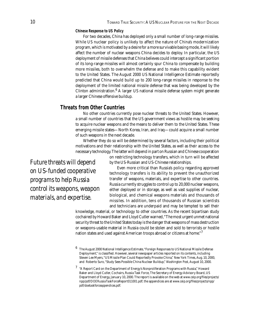#### **Chinese Response to US Policy**

For two decades, China has deployed only a small number of long-range missiles. While US nuclear policy is unlikely to affect the nature of China's modernization program, which is motivated by a desire for a more survivable basing mode, it will likely affect the number of nuclear weapons China decides to deploy. In particular, the US deployment of missile defenses that China believes could intercept a significant portion of its long-range missiles will almost certainly spur China to compensate by building more missiles, both to overwhelm the defense and to make this capability evident to the United States. The August 2000 US National Intelligence Estimate reportedly predicted that China would build up to 200 long-range missiles in response to the deployment of the limited national missile defense that was being developed by the Clinton administration. $6$  A larger US national missile defense system might generate a larger Chinese offensive buildup.

#### **Threats from Other Countries**

No other countries currently pose nuclear threats to the United States. However, a small number of countries that the US government views as hostile may be seeking to acquire nuclear weapons and the means to deliver them to the United States. These emerging missile states—North Korea, Iran, and Iraq—could acquire a small number of such weapons in the next decade.

Whether they do so will be determined by several factors, including their political motivations and their relationship with the United States, as well as their access to the necessary technology. The latter will depend in part on Russian and Chinese cooperation

on restricting technology transfers, which in turn will be affected by the US-Russian and US-Chinese relationships.

*Future threats will depend on US-funded cooperative programs to help Russia control its weapons, weapon materials, and expertise.*

Even more critical than Russia's policy regarding approved technology transfers is its ability to prevent the unauthorized transfer of weapons, materials, and expertise to other countries. Russia currently struggles to control up to 20,000 nuclear weapons, either deployed or in storage, as well as vast supplies of nuclear, biological, and chemical weapons materials and thousands of missiles. In addition, tens of thousands of Russian scientists and technicians are underpaid and may be tempted to sell their

knowledge, material, or technology to other countries. As the recent bipartisan study cochaired by Howard Baker and Lloyd Cutler warned, "The most urgent unmet national security threat to the United States today is the danger that weapons of mass destruction or weapons-usable material in Russia could be stolen and sold to terrorists or hostile nation states and used against American troops abroad or citizens at home." $^7$ 

The August 2000 National Intelligence Estimate, "Foreign Responses to US National Missile Defense Deployment," is classified. However, several newspaper articles reported on its contents, including Steven Lee Myers, "US Missile Plan Could Reportedly Provoke China," *New York Times,* Aug. 10, 2000, and Roberto Suro, "Study Sees Possible China Nuclear Buildup," *Washington Post,* August 10, 2000.

<sup>7 &</sup>quot;A Report Card on the Department of Energy's Nonproliferation Programs with Russia," Howard Baker and Lloyd Cutler, Cochairs, Russia Task Force, The Secretary of Energy Advisory Board, US Department of Energy, January 10, 2000. The report is available on the web at *www.ceip.org/fi les/projects/ npp/pdf/DOERussiaTaskForceReport011001.pdf;* the appendices are at *www.ceip.org/fi les/projects/npp/ pdf/doetaskforceappendices.pdf.*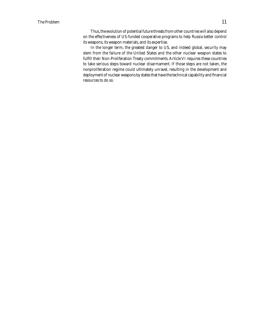Thus, the evolution of potential future threats from other countries will also depend on the effectiveness of US-funded cooperative programs to help Russia better control its weapons, its weapon materials, and its expertise.

In the longer term, the greatest danger to US, and indeed global, security may stem from the failure of the United States and the other nuclear weapon states to fulfill their Non-Proliferation Treaty commitments. Article VI requires these countries to take serious steps toward nuclear disarmament. If those steps are not taken, the nonproliferation regime could ultimately unravel, resulting in the development and deployment of nuclear weapons by states that have the technical capability and financial resources to do so.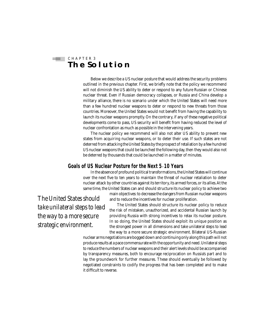#### $\equiv$  CHAPTER 3 **The Solution**

Below we describe a US nuclear posture that would address the security problems outlined in the previous chapter. First, we briefly note that the policy we recommend will not diminish the US ability to deter or respond to any future Russian or Chinese nuclear threat. Even if Russian democracy collapses, or Russia and China develop a military alliance, there is no scenario under which the United States will need more than a few hundred nuclear weapons to deter or respond to new threats from those countries. Moreover, the United States would not benefit from having the capability to launch its nuclear weapons promptly. On the contrary, if any of these negative political developments come to pass, US security will benefit from having reduced the level of nuclear confrontation as much as possible in the intervening years.

The nuclear policy we recommend will also not alter US ability to prevent new states from acquiring nuclear weapons, or to deter their use. If such states are not deterred from attacking the United States by the prospect of retaliation by a few hundred US nuclear weapons that could be launched the following day, then they would also not be deterred by thousands that could be launched in a matter of minutes.

#### **Goals of US Nuclear Posture for the Next 5**–**10 Years**

In the absence of profound political transformations, the United States will continue over the next five to ten years to maintain the threat of nuclear retaliation to deter nuclear attack by other countries against its territory, its armed forces, or its allies. At the same time, the United States can and should structure its nuclear policy to achieve two

main objectives: to decrease the dangers from Russian nuclear weapons and to reduce the incentives for nuclear proliferation.

*The United States should take unilateral steps to lead the way to a more secure strategic environment.*

The United States should structure its nuclear policy to reduce the risk of mistaken, unauthorized, and accidental Russian launch by providing Russia with strong incentives to relax its nuclear posture. In so doing, the United States should exploit its unique position as the strongest power in all dimensions and take unilateral steps to lead the way to a more secure strategic environment. Bilateral US-Russian

nuclear arms negotiations are bogged down and continuing only along this path will not produce results at a pace commensurate with the opportunity and need. Unilateral steps to reduce the numbers of nuclear weapons and their alert levels should be accompanied by transparency measures, both to encourage reciprocation on Russia's part and to lay the groundwork for further measures. These should eventually be followed by negotiated constraints to codify the progress that has been completed and to make it difficult to reverse.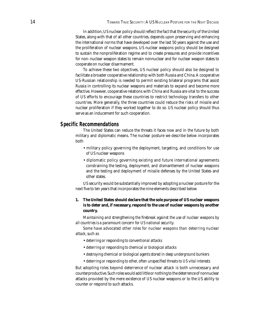In addition, US nuclear policy should reflect the fact that the security of the United States, along with that of all other countries, depends upon preserving and enhancing the international norms that have developed over the last 50 years against the use and the proliferation of nuclear weapons. US nuclear weapons policy should be designed to sustain the nonproliferation regime and to create pressures and provide incentives for non–nuclear weapon states to remain nonnuclear and for nuclear weapon states to cooperate on nuclear disarmament.

To achieve these two objectives, US nuclear policy should also be designed to facilitate a broader cooperative relationship with both Russia and China. A cooperative US-Russian relationship is needed to permit existing bilateral programs that assist Russia in controlling its nuclear weapons and materials to expand and become more effective. However, cooperative relations with China and Russia are vital to the success of US efforts to encourage these countries to restrict technology transfers to other countries. More generally, the three countries could reduce the risks of missile and nuclear proliferation if they worked together to do so. US nuclear policy should thus serve as an inducement for such cooperation.

#### **Specific Recommendations**

The United States can reduce the threats it faces now and in the future by both military and diplomatic means. The nuclear posture we describe below incorporates both

- military policy governing the deployment, targeting, and conditions for use of US nuclear weapons
- diplomatic policy governing existing and future international agreements constraining the testing, deployment, and dismantlement of nuclear weapons and the testing and deployment of missile defenses by the United States and other states.

US security would be substantially improved by adopting a nuclear posture for the next five to ten years that incorporates the nine elements described below.

#### **1. The United States should declare that the sole purpose of US nuclear weapons is to deter and, if necessary, respond to the use of nuclear weapons by another country.**

*Maintaining and strengthening the firebreak against the use of nuclear weapons by all countries is a paramount concern for US national security.* 

*Some have advocated other roles for nuclear weapons than deterring nuclear attack, such as* 

- *deterring or responding to conventional attacks*
- *deterring or responding to chemical or biological attacks*
- *destroying chemical or biological agents stored in deep underground bunkers*
- *deterring or responding to other, often unspecified threats to US vital interests*

But adopting roles beyond deterrence of nuclear attack is both unnecessary and counterproductive. Such roles would add little or nothing to the deterrence of nonnuclear attacks provided by the mere existence of US nuclear weapons or to the US ability to counter or respond to such attacks.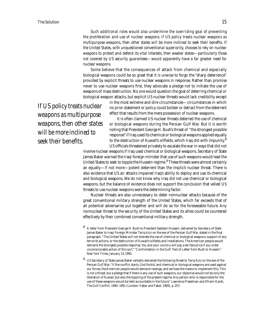*Such additional roles would also undermine the overriding goal of preventing the proliferation and use of nuclear weapons. If US policy treats nuclear weapons as*  multipurpose weapons, then other states will be more inclined to seek their benefits. If *the United States, with unquestioned conventional superiority, chooses to rely on nuclear weapons to protect and defend its vital interests, then weaker states—particularly those not covered by US security guarantees—would apparently have a far greater need for nuclear weapons.*

Some believe that the consequences of attack from chemical and especially biological weapons could be so great that it is unwise to forgo the "sharp deterrence" provided by explicit threats to use nuclear weapons in response. Rather than promise never to use nuclear weapons first, they advocate a pledge not to initiate the use of weapons of mass destruction. No one would question the goal of deterring chemical or biological weapon attacks, but explicit US nuclear threats would lack credibility except

*If US policy treats nuclear weapons as multipurpose weapons, then other states will be more inclined to seek their benefits.* 

in the most extreme and dire circumstances—circumstances in which no prior statement or policy could bolster or detract from the deterrent effect that results from the mere possession of nuclear weapons.

It is often claimed US nuclear threats deterred the use of chemical or biological weapons during the Persian Gulf War. But it is worth noting that President George H. Bush's threat of "the strongest possible response" if Iraq used its chemical or biological weapons applied equally to the destruction of Kuwait's oilfields, which Iraq did with impunity. $8$ US officials threatened privately to escalate the war in ways that did not

involve nuclear weapons if Iraq used chemical or biological weapons. Secretary of State James Baker warned the Iraqi foreign minister that use of such weapons would lead the United States to seek to topple the Hussein regime.<sup>9</sup> These threats were almost certainly an equally—if not more—potent deterrent than the implicit nuclear threat. There is also evidence that US air attacks impaired Iraq's ability to deploy and use its chemical and biological weapons. We do not know why Iraq did not use chemical or biological weapons, but the balance of evidence does not support the conclusion that veiled US threats to use nuclear weapons were the determining factor.

Nuclear threats are also unnecessary to deter nonnuclear attacks because of the great conventional military strength of the United States, which far exceeds that of all potential adversaries put together and will do so for the foreseeable future. Any nonnuclear threat to the security of the United States and its allies could be countered effectively by their combined conventional military strength.

- 8 A letter from President George H. Bush to President Saddam Hussein, delivered by Secretary of State James Baker to Iraqi Foreign Minister Tariq Aziz on the eve of the Persian Gulf War, stated in the final paragraph, "The United States will not tolerate the use of chemical or biological weapons, support of any terrorist actions, or the destruction of Kuwait's oilfields and installations. The American people would demand the strongest possible response. You and your country will pay a terrible price if you order unconscionable action of this sort." "Confrontation in the Gulf: Text of Letter from Bush to Hussein," *New York Times,* January 13, 1991.
- $9$  US Secretary of State James Baker verbally delivered the following threat to Tariq Aziz on the eve of the Persian Gulf War: "If the conflict starts, God forbid, and chemical or biological weapons are used against our forces, the American people would demand revenge, and we have the means to implement this. This is not a threat, but a pledge that if there is any use of such weapons, our objective would not be only the liberation of Kuwait, but also the toppling of the present regime. Any person who is responsible for the use of these weapons would be held accountable in the future." Lawrence Freedman and Efraim Karsh, *The Gulf Confl ict: 1990–1991* (London: Faber and Faber, 1993), p. 257.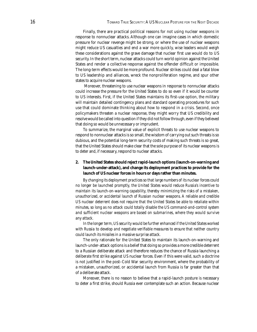Finally, there are practical political reasons for not using nuclear weapons in response to nonnuclear attacks. Although one can imagine cases in which domestic pressure for nuclear revenge might be strong, or where the use of nuclear weapons might reduce US casualties and end a war more quickly, wise leaders would weigh these considerations against the grave damage that nuclear first use would do to US security. In the short term, nuclear attacks could turn world opinion against the United States and render a collective response against the offender difficult or impossible. The long-term effects would be more profound. Nuclear strikes could deal a fatal blow to US leadership and alliances, wreck the nonproliferation regime, and spur other states to acquire nuclear weapons.

 Moreover, threatening to use nuclear weapons in response to nonnuclear attacks could increase the pressure for the United States to do so even if it would be counter to US interests. First, if the United States maintains its first-use option, the military will maintain detailed contingency plans and standard operating procedures for such use that could dominate thinking about how to respond in a crisis. Second, once policymakers threaten a nuclear response, they might worry that US credibility and resolve would be called into question if they did not follow through, even if they believed that doing so would be unnecessary or imprudent.

To summarize, the marginal value of explicit threats to use nuclear weapons to respond to nonnuclear attacks is so small, the wisdom of carrying out such threats is so dubious, and the potential long-term security costs of making such threats is so great, that the United States should make clear that the sole purpose of its nuclear weapons is to deter and, if necessary, respond to nuclear attacks.

#### **2. The United States should reject rapid-launch options (launch-on-warning and launch-under-attack), and change its deployment practices to provide for the launch of US nuclear forces in hours or days rather than minutes.**

*By changing its deployment practices so that large numbers of its nuclear forces could no longer be launched promptly, the United States would reduce Russia's incentive to maintain its launch-on-warning capability, thereby minimizing the risks of a mistaken, unauthorized, or accidental launch of Russian nuclear weapons. A reliable and credible US nuclear deterrent does not require that the United States be able to retaliate within minutes, so long as no attack could totally disable the US command-and-control system and sufficient nuclear weapons are based on submarines, where they would survive any attack.* 

*In the longer term, US security would be further enhanced if the United States worked*  with Russia to develop and negotiate verifiable measures to ensure that neither country *could launch its missiles in a massive surprise attack.*

The only rationale for the United States to maintain its launch-on-warning and launch-under-attack options is a belief that doing so provides a more credible deterrent to a Russian deliberate attack and therefore reduces the chance of Russia launching a *deliberate* first strike against US nuclear forces. Even if this were valid, such a doctrine is not justified in the post–Cold War security environment, where the probability of a mistaken, unauthorized, or accidental launch from Russia is far greater than that of a deliberate attack.

Moreover, there is no reason to believe that a rapid-launch posture is necessary to deter a first strike, should Russia ever contemplate such an action. Because nuclear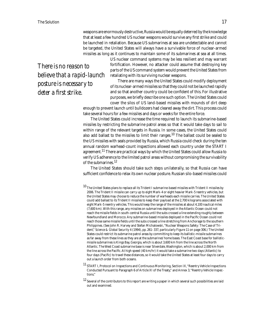weapons are enormously destructive, Russia would be equally deterred by the knowledge that at least a few hundred US nuclear weapons would survive any first strike and could be launched in retaliation. Because US submarines at sea are undetectable and cannot be targeted, the United States will always have a survivable force of nuclear-armed missiles as long as it continues to maintain some of its submarines at sea at all times.

*There is no reason to believe that a rapid-launch posture is necessary to deter a first strike.* 

US nuclear command systems may be less resilient and may warrant fortification. However, no attacker could assume that destroying key parts of the US command system would prevent the United States from retaliating with its surviving nuclear weapons.

There are many ways the United States could modify deployment of its nuclear-armed missiles so that they could not be launched rapidly and so that another country could be confident of this. For illustrative purposes, we briefly describe one such option. The United States could cover the silos of US land-based missiles with mounds of dirt deep

enough to prevent launch until bulldozers had cleared away the dirt. This process could take several hours for a few missiles and days or weeks for the entire force.

The United States could increase the time required to launch its submarine-based missiles by restricting the submarine patrol areas so that it would take days to sail to within range of the relevant targets in Russia. In some cases, the United States could also add ballast to the missiles to limit their ranges.<sup>10</sup> The ballast could be sealed to the US missiles with seals provided by Russia, which Russia could check during the ten annual random warhead-count inspections allowed each country under the START I agreement.<sup>11</sup> There are practical ways by which the United States could allow Russia to verify US adherence to the limited patrol areas without compromising the survivability of the submarines. $12$ 

The United States should take such steps unilaterally, so that Russia can have sufficient confidence to relax its own nuclear posture. Russian silo-based missiles could

<sup>11</sup> START I, Protocol on Inspections and Continuous Monitoring, Section IX, "Reentry Vehicle Inspections Conducted Pursuant to Paragraph 6 of Article XI of the Treaty," and Annex 3, "Reentry Vehicle Inspections."

 $^{10}$  The United States plans to replace all its Trident I submarine-based missiles with Trident II missiles by 2006. The Trident II missile can carry up to eight Mark-4 or eight heavier Mark-5 reentry vehicles, but the United States may choose to reduce the number of warheads each missile carries. The United States could add ballast to its Trident II missiles to keep their payload at the 2,700 kilograms associated with eight Mark-5 reentry vehicles. This would keep the range of the missiles at about 4,100 nautical miles (7,600 km). With this range, any missiles on submarines deployed in the Atlantic Ocean could not reach the missile fields in south-central Russia until the subs crossed a line extending roughly between Newfoundland and Morocco. Any submarine-based missiles deployed in the Pacific Ocean could not reach those same missile fields until the subs crossed a line stretching from Anchorage to the southern Philippines. (See John R. Harvey and Stefan Michalowski, "Nuclear Weapons Safety: The Case of Trident," *Science & Global Security* 4 (1994), pp. 261*–*337, particularly Figure 11 on page 306.) The United States could restrict its submarine patrol areas by committing to keep its ballistic-missile submarines as far away from these lines as they are at the submarines' home bases. The East Coast base for ballisticmissile submarines is Kings Bay, Georgia, which is about 3,600 km from the line across the North Atlantic. The West Coast submarine base is near Silverdale, Washington, which is about 2,000 km from the line across the Pacific. At high speed (40 km/hr) it would take a submarine two days (Atlantic) to four days (Pacific) to travel these distances, so it would take the United States at least four days to carry out a launch order from both oceans.

 $12$  Several of the contributors to this report are writing a paper in which several such possibilities are laid out and examined.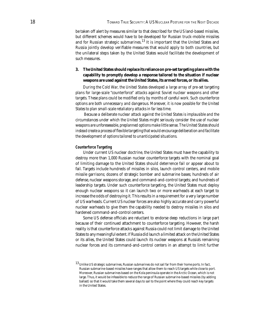be taken off alert by measures similar to that described for the US land-based missiles, but different schemes would have to be developed for Russian truck-mobile missiles and for Russian strategic submarines. $^{13}$  It is important that the United States and Russia jointly develop verifiable measures that would apply to both countries, but the unilateral steps taken by the United States would facilitate the development of such measures.

#### **3. The United States should replace its reliance on pre-set targeting plans with the capability to promptly develop a response tailored to the situation if nuclear weapons are used against the United States, its armed forces, or its allies.**

*During the Cold War, the United States developed a large array of pre-set targeting plans for large-scale "counterforce" attacks against Soviet nuclear weapons and other*  targets. These plans could be modified only by months of careful work. Such counterforce *options are both unnecessary and dangerous. Moreover, it is now possible for the United States to plan small-scale retaliatory attacks in far less time.*

 *Because a deliberate nuclear attack against the United States is implausible and the circumstances under which the United States might seriously consider the use of nuclear weapons are unforeseeable, preplanned options make little sense. The United States should*  instead create a process of flexible targeting that would encourage deliberation and facilitate *the development of options tailored to unanticipated situations.*

#### **Counterforce Targeting**

Under current US nuclear doctrine, the United States must have the capability to destroy more than 1,000 Russian nuclear counterforce targets with the nominal goal of limiting damage to the United States should deterrence fail or appear about to fail. Targets include hundreds of missiles in silos, launch control centers, and mobile missile garrisons; dozens of strategic bomber and submarine bases; hundreds of air defense, nuclear weapons storage, and command-and-control targets; and hundreds of leadership targets. Under such counterforce targeting, the United States must deploy enough nuclear weapons so it can launch two or more warheads at each target to increase the odds of destroying it. This results in a requirement for a very large number of US warheads. Current US nuclear forces are also highly accurate and carry powerful nuclear warheads to give them the capability needed to destroy missiles in silos and hardened command-and-control centers.

Some US defense officials are reluctant to endorse deep reductions in large part because of their continued attachment to counterforce targeting. However, the harsh reality is that counterforce attacks against Russia could not limit damage to the United States to any meaningful extent. If Russia did launch a limited attack on the United States or its allies, the United States could launch its nuclear weapons at Russia's remaining nuclear forces and its command-and-control centers in an attempt to limit further

 $^{13}$  Unlike US strategic submarines, Russian submarines do not sail far from their home ports. In fact, Russian submarine-based missiles have ranges that allow them to reach US targets while close to port. Moreover, Russian submarines based on the Kola peninsula operate in the Arctic Ocean, which is not large. Thus, it would be infeasible to reduce the range of Russian submarine-based missiles (by adding ballast) so that it would take them several days to sail to the point where they could reach key targets in the United States.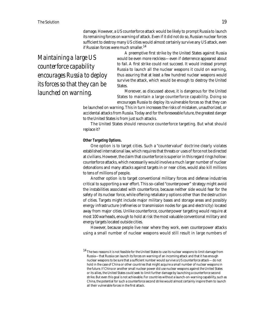damage. However, a US counterforce attack would be likely to prompt Russia to launch its remaining forces on warning of attack. Even if it did not do so, Russian nuclear forces sufficient to destroy many US cities would almost certainly survive any US attack, even if Russian forces were much smaller.<sup>14</sup>

*Maintaining a large US counterforce capability encourages Russia to deploy its forces so that they can be launched on warning.*

A preemptive first strike by the United States against Russia would be even more reckless—even if deterrence appeared about to fail. A first strike could not succeed. It would instead prompt Russia to launch all the nuclear weapons it could on warning, thus assuring that at least a few hundred nuclear weapons would survive the attack, which would be enough to destroy the United States.

Moreover, as discussed above, it is dangerous for the United States to maintain a large counterforce capability. Doing so encourages Russia to deploy its vulnerable forces so that they can

be launched on warning. This in turn increases the risks of mistaken, unauthorized, or accidental attacks from Russia. Today and for the foreseeable future, the greatest danger to the United States is from just such attacks.

The United States should renounce counterforce targeting. But what should replace it?

#### **Other Targeting Options.**

One option is to target cities. Such a "countervalue" doctrine clearly violates established international law, which requires that threats or uses of force not be directed at civilians. However, the claim that counterforce is superior in this regard rings hollow: counterforce attacks, which necessarily would involve a much larger number of nuclear detonations and many attacks against targets in or near cities, would also kill millions to tens of millions of people.

Another option is to target conventional military forces and defense industries critical to supporting a war effort. This so-called "counterpower" strategy might avoid the instabilities associated with counterforce, because neither side would fear for the safety of its nuclear force, while offering retaliatory options other than the destruction of cities. Targets might include major military bases and storage areas and possibly energy infrastructure (refineries or transmission nodes for gas and electricity) located away from major cities. Unlike counterforce, counterpower targeting would require at most 100 warheads, enough to hold at risk the most valuable conventional military and energy targets located outside cities.

However, because people live near where they work, even counterpower attacks using a small number of nuclear weapons would still result in large numbers of

 $^{14}$  The two reasons it is not feasible for the United States to use its nuclear weapons to limit damage from Russia—that Russia can launch its forces on warning of an incoming attack and that it has enough nuclear weapons to be sure that a sufficient number would survive a US counterforce attack—do not hold in the case of China or other countries that might acquire a small number of nuclear weapons in the future. If China or another small nuclear power did use nuclear weapons against the United States or its allies, the United States could seek to limit further damage by launching a counterforce second strike. But even this goal is not achievable. For countries without a launch-on-warning capability, such as China, the potential for such a counterforce second strike would almost certainly inspire them to launch all their vulnerable forces in the first attack.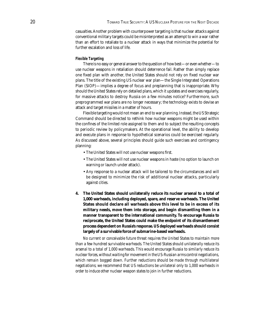casualties. Another problem with counterpower targeting is that nuclear attacks against conventional military targets could be misinterpreted as an attempt to win a war rather than an effort to retaliate to a nuclear attack in ways that minimize the potential for further escalation and loss of life.

#### **Flexible Targeting**

There is no easy or general answer to the question of how best—or even whether—to use nuclear weapons in retaliation should deterrence fail. Rather than simply replace one fixed plan with another, the United States should not rely on fixed nuclear war plans. The title of the existing US nuclear war plan—the Single Integrated Operations Plan (SIOP)—implies a degree of focus and preplanning that is inappropriate. Why should the United States rely on detailed plans, which it updates and exercises regularly, for massive attacks to destroy Russia on a few minutes notice? Furthermore, such preprogrammed war plans are no longer necessary; the technology exists to devise an attack and target missiles in a matter of hours.

Flexible targeting would not mean an end to war planning. Instead, the US Strategic Command should be directed to rethink how nuclear weapons might be used within the confines of the limited role assigned to them and to subject the resulting concepts to periodic review by policymakers. At the operational level, the ability to develop and execute plans in response to hypothetical scenarios could be exercised regularly. As discussed above, several principles should guide such exercises and contingency planning:

- The United States will not use nuclear weapons first.
- The United States will not use nuclear weapons in haste (no option to launch on warning or launch under attack).
- Any response to a nuclear attack will be tailored to the circumstances and will be designed to minimize the risk of additional nuclear attacks, particularly against cities.
- **4. The United States should unilaterally reduce its nuclear arsenal to a total of 1,000 warheads, including deployed, spare, and reserve warheads. The United States should declare all warheads above this level to be in excess of its military needs, move them into storage, and begin dismantling them in a manner transparent to the international community. To encourage Russia to reciprocate, the United States could make the endpoint of its dismantlement process dependent on Russia's response. US deployed warheads should consist largely of a survivable force of submarine-based warheads.**

*No current or conceivable future threat requires the United States to maintain more than a few hundred survivable warheads. The United States should unilaterally reduce its arsenal to a total of 1,000 warheads. This would encourage Russia to similarly reduce its nuclear forces, without waiting for movement in the US-Russian arms control negotiations, which remain bogged down. Further reductions should be made through multilateral negotiations; we recommend that US reductions be unilateral only to 1,000 warheads in order to induce other nuclear weapon states to join in further reductions.*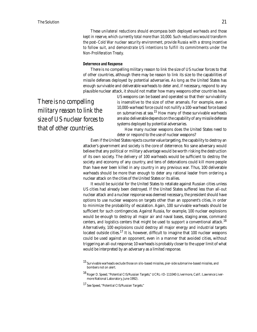*These unilateral reductions should encompass both deployed warheads and those kept in reserve, which currently total more than 10,000. Such reductions would transform the post*–*Cold War nuclear security environment, provide Russia with a strong incentive to follow suit, and demonstrate US intentions to fulfill its commitments under the Non-Proliferation Treaty.* 

#### **Deterrence and Response**

There is no compelling military reason to link the size of US nuclear forces to that of other countries, although there may be reason to link its size to the capabilities of missile defenses deployed by potential adversaries. As long as the United States has enough survivable and deliverable warheads to deter and, if necessary, respond to any plausible nuclear attack, it should not matter how many weapons other countries have.

*There is no compelling military reason to link the size of US nuclear forces to that of other countries.*

US weapons can be based and operated so that their survivability is insensitive to the size of other arsenals. For example, even a 10,000-warhead force could not nullify a 100-warhead force based on submarines at sea.<sup>15</sup> How many of these survivable warheads are also deliverable depends on the capability of any missile defense systems deployed by potential adversaries.

How many nuclear weapons does the United States need to deter or respond to the use of nuclear weapons?

Even if the United States rejects countervalue targeting, the capability to destroy an attacker's government and society is the core of deterrence. No sane adversary would believe that any political or military advantage would be worth risking the destruction of its own society. The delivery of 100 warheads would be sufficient to destroy the society and economy of any country, and tens of detonations could kill more people than have ever been killed in any country in any previous war. Thus, 100 deliverable warheads should be more than enough to deter any rational leader from ordering a nuclear attack on the cities of the United States or its allies.

It would be suicidal for the United States to retaliate against Russian cities unless US cities had already been destroyed. If the United States suffered less than all-out nuclear attack and a nuclear response was deemed necessary, the president should have options to use nuclear weapons on targets other than an opponent's cities, in order to minimize the probability of escalation. Again, 100 survivable warheads should be sufficient for such contingencies. Against Russia, for example, 100 nuclear explosions would be enough to destroy all major air and naval bases, staging areas, command centers, and logistics centers that might be used to support a conventional attack.<sup>16</sup> Alternatively, 100 explosions could destroy all major energy and industrial targets located outside cities.<sup>17</sup> It is, however, difficult to imagine that 100 nuclear weapons could be used against an opponent, even in a manner that avoided cities, without triggering an all-out response; 10 warheads is probably closer to the upper limit of what would be interpreted by an adversary as a limited response.

<sup>15</sup> Survivable warheads exclude those on silo-based missiles, pier-side submarine-based missiles, and bombers not on alert.

<sup>16</sup> Roger D. Speed, "Potential CIS/Russian Targets," UCRL-ID-111040 (Livermore, Calif.: Lawrence Livermore National Laboratory, June 1992).

<sup>17</sup> See Speed, "Potential CIS/Russian Targets."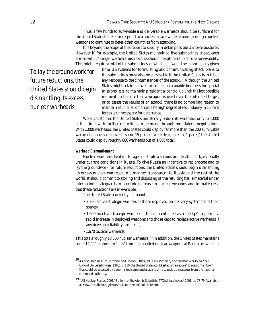Thus, a few hundred survivable and deliverable warheads should be sufficient for the United States to deter or respond to a nuclear attack while retaining enough nuclear weapons to continue to deter other countries from attacking.

It is beyond the scope of this report to specify in detail possible US force postures. However if, for example, the United States maintained five submarines at sea, each armed with 24 single-warhead missiles, this should be sufficient to ensure survivability. This might require a total of ten submarines, of which half would be in port at any given

*To lay the groundwork for future reductions, the United States should begin dismantling its excess nuclear warheads.*

time. US systems for formulating and communicating attack plans to the submarines must also be survivable if the United States is to tailor any response to the circumstances of the attack.<sup>18</sup> Although the United States might retain a dozen or so nuclear-capable bombers for special missions (e.g., to maintain presidential control up until the last possible moment, to be sure that a weapon is used over the intended target, or to assess the results of an attack), there is no compelling reason to maintain a full triad of forces. The high degree of redundancy in current forces is unnecessary for deterrence.

We advocate that the United States unilaterally reduce its warheads only to 1,000 at this time, with further reductions to be made through multilateral negotiations. With 1,000 warheads, the United States could deploy far more than the 200 survivable warheads discussed above. If some 15 percent were designated as "spares," the United States could deploy roughly 800 warheads out of 1,000 total.

#### **Warhead Dismantlement**

Nuclear warheads kept in storage constitute a serious proliferation risk, especially under current conditions in Russia. To give Russia an incentive to reciprocate and to lay the groundwork for future reductions, the United States should begin dismantling its excess nuclear warheads in a manner transparent to Russia and the rest of the world. It should commit to storing and disposing of the resulting fissile material under international safeguards to preclude its reuse in nuclear weapons and to make clear that these reductions are irreversible.

The United States currently has about

- 7,200 active strategic warheads (those deployed on delivery systems and their spares)
- 1,600 inactive strategic warheads (those maintained as a "hedge" to permit a rapid increase in deployed weapons and those kept to replace active warheads if any develop reliability problems)
- 1,670 tactical warheads

This totals roughly 10,500 nuclear warheads.<sup>19</sup> In addition, the United States maintains some 12,000 plutonium "pits" from dismantled nuclear weapons at Pantex, of which it

<sup>18</sup> As discussed in Kurt Gottfried and Bruce G. Blair, ed., *Crisis Stability and Nuclear War* (New York: Oxford University Press, 1988), p. 110, the United States could establish a secure "strategic mail box" that could be accessed by a submarine commander at any time to pick up messages from the national command authority.

<sup>19</sup> "US Nuclear Forces, 2001," *Bulletin of the Atomic Scientists,* 57(2), March/April 2001, pp 77-79. Available at *www.thebulletin.org/issues/nukenotes/ma01nukenote.html.*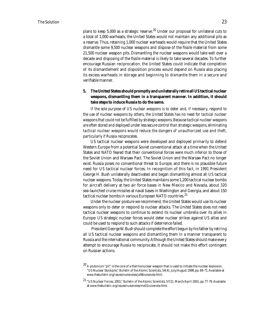plans to keep  $5,000$  as a strategic reserve.<sup>20</sup> Under our proposal for unilateral cuts to a total of 1,000 warheads, the United States would not maintain any additional pits as a reserve. Thus, retaining 1,000 nuclear warheads would require that the United States dismantle some 9,500 nuclear weapons and dispose of the fissile material from some 21,500 nuclear weapon pits. Dismantling the nuclear weapons would take well over a decade and disposing of the fissile material is likely to take several decades. To further encourage Russian reciprocation, the United States could indicate that completion of its dismantlement and disposition process would depend on Russia also placing its excess warheads in storage and beginning to dismantle them in a secure and verifiable manner.

#### **5. The United States should promptly and unilaterally retire all US tactical nuclear weapons, dismantling them in a transparent manner. In addition, it should take steps to induce Russia to do the same.**

*If the sole purpose of US nuclear weapons is to deter and, if necessary, respond to the use of nuclear weapons by others, the United States has no need for tactical nuclear weapons that could not be fulfi lled by strategic weapons. Because tactical nuclear weapons are often stored and deployed under less secure control than strategic weapons, eliminating tactical nuclear weapons would reduce the dangers of unauthorized use and theft, particularly if Russia reciprocates.* 

US tactical nuclear weapons were developed and deployed primarily to defend Western Europe from a potential Soviet conventional attack at a time when the United States and NATO feared that their conventional forces were much inferior to those of the Soviet Union and Warsaw Pact. The Soviet Union and the Warsaw Pact no longer exist. Russia poses no conventional threat to Europe, and there is no plausible future need for US tactical nuclear forces. In recognition of this fact, in 1991 President George H. Bush unilaterally deactivated and began dismantling almost all US tactical nuclear weapons. Today, the United States maintains some 1,200 tactical nuclear bombs for aircraft delivery at two air force bases in New Mexico and Nevada, about 320 sea-launched cruise missiles at naval bases in Washington and Georgia, and about 150 tactical nuclear bombs in various European NATO countries.<sup>21</sup>

Under the nuclear posture we recommend, the United States would use its nuclear weapons only to deter or respond to nuclear attacks. The United States does not need tactical nuclear weapons to continue to extend its nuclear umbrella over its allies in Europe: US strategic nuclear forces would deter nuclear strikes against US allies and could be used to respond to such attacks if deterrence failed.

 President George W. Bush should complete the effort begun by his father by retiring all US tactical nuclear weapons and dismantling them in a manner transparent to Russia and the international community. Although the United States should make every attempt to encourage Russia to reciprocate, it should not make this effort contingent on Russian actions.

<sup>&</sup>lt;sup>20</sup> A plutonium "pit" is the core of a thermonuclear weapon that is used to initiate the nuclear explosion. "US Nuclear Stockpile," *Bulletin of the Atomic Scientists,* 54(4), July/August 1998, pp. 69-71. Available at *www.thebulletin.org/issues/nukenotes/ja98nukenote.html.* 

<sup>21</sup> "US Nuclear Forces, 2001," *Bulletin of the Atomic Scientists,* 57(2), March/April 2001, pp 77-79. Available at *www.thebulletin.org/issues/nukenotes/ma01nukenote.html.*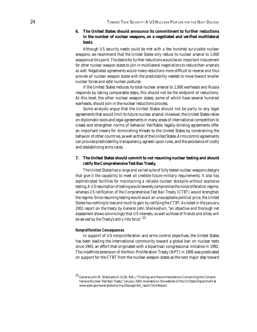#### **6. The United States should announce its commitment to further reductions in the number of nuclear weapons, on a negotiated and verified multilateral basis.**

*Although US security needs could be met with a few hundred survivable nuclear weapons, we recommend that the United States only reduce its nuclear arsenal to 1,000 weapons at this point. The desire for further reductions would be an important inducement for other nuclear weapon states to join in multilateral negotiations to reduce their arsenals as well. Negotiated agreements would make reductions more diffi cult to reverse and thus provide all nuclear weapon states with the predictability needed to move toward smaller nuclear forces and safer nuclear postures.* 

If the United States reduces its total nuclear arsenal to 1,000 warheads and Russia responds by taking comparable steps, this should not be the endpoint of reductions. At this level, the other nuclear weapon states, some of which have several hundred warheads, should join in the nuclear reductions process.

Some analysts argue that the United States should not be party to any legal agreements that would limit its future nuclear arsenal. However, the United States relies on diplomatic tools and legal agreements in many areas of international competition to create and strengthen norms of behavior. Verifiable, legally-binding agreements offer an important means for diminishing threats to the United States by constraining the behavior of other countries, as well as that of the United States. Arms control agreements can provide predictability, transparency, agreed-upon rules, and the avoidance of costly and destabilizing arms races.

#### **7. The United States should commit to not resuming nuclear testing and should ratify the Comprehensive Test Ban Treaty.**

*The United States has a large and varied suite of fully tested nuclear weapons designs that give it the capability to meet all credible future military requirements. It also has sophisticated facilities for maintaining a reliable nuclear stockpile without explosive testing. A US resumption of testing would severely compromise the nonproliferation regime, whereas US ratification of the Comprehensive Test Ban Treaty (CTBT) would strengthen the regime. Since resuming testing would exact an unacceptable political price, the United States has nothing to lose and much to gain by ratifying the CTBT. As noted in the January 2001 report on the treaty by General John Shalikashvili, "an objective and thorough net assessment shows convincingly that US interests, as well as those of friends and allies, will be served by the Treaty's entry into force."* <sup>22</sup>

#### **Nonproliferation Consequences**

In support of US nonproliferation and arms control objectives, the United States has been leading the international community toward a global ban on nuclear tests since 1993, an effort that originated with a bipartisan congressional initiative in 1992. The indefinite extension of the Non-Proliferation Treaty (NPT) in 1995 was predicated on support for the CTBT from the nuclear weapon states as the next major step toward

<sup>22</sup> General John M. Shalikashvili (USA, Ret.), "Findings and Recommendations Concerning the Comprehensive Nuclear Test Ban Treaty," January 2001. Available on the website of the US State Department at *www.state.gov/www/global/arms/ctbtpage/ctbt\_report.html#report.*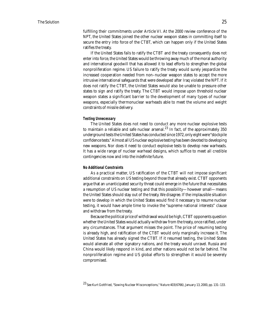fulfilling their commitments under Article VI. At the 2000 review conference of the NPT, the United States joined the other nuclear weapon states in committing itself to secure the entry into force of the CTBT, which can happen only if the United States ratifies the treaty.

If the United States fails to ratify the CTBT and the treaty consequently does not enter into force, the United States would be throwing away much of the moral authority and international goodwill that has allowed it to lead efforts to strengthen the global nonproliferation regime. US failure to ratify the treaty would surely jeopardize the increased cooperation needed from non–nuclear weapon states to accept the more intrusive international safeguards that were developed after Iraq violated the NPT. If it does not ratify the CTBT, the United States would also be unable to pressure other states to sign and ratify the treaty. The CTBT would impose upon threshold nuclear weapon states a significant barrier to the development of many types of nuclear weapons, especially thermonuclear warheads able to meet the volume and weight constraints of missile delivery.

#### **Testing Unnecessary**

The United States does not need to conduct any more nuclear explosive tests to maintain a reliable and safe nuclear arsenal.<sup>23</sup> In fact, of the approximately 350 underground tests the United States has conducted since 1972, only eight were "stockpile confidence tests." Almost all US nuclear explosive testing has been devoted to developing new weapons. Nor does it need to conduct explosive tests to develop new warheads. It has a wide range of nuclear warhead designs, which suffice to meet all credible contingencies now and into the indefinite future.

#### **No Additional Constraints**

As a practical matter, US ratification of the CTBT will not impose significant additional constraints on US testing beyond those that already exist. CTBT opponents argue that an unanticipated security threat could emerge in the future that necessitates a resumption of US nuclear testing and that this possibility—however small—means the United States should stay out of the treaty. We disagree. If the implausible situation were to develop in which the United States would find it necessary to resume nuclear testing, it would have ample time to invoke the "supreme national interests" clause and withdraw from the treaty.

Because the political price of withdrawal would be high, CTBT opponents question whether the United States would actually withdraw from the treaty, once ratified, under any circumstances. That argument misses the point. The price of resuming testing is already high, and ratification of the CTBT would only marginally increase it. The United States has already signed the CTBT. If it resumed testing, the United States would alienate all other signatory nations, and the treaty would unravel. Russia and China would likely respond in kind, and other nations would not be far behind. The nonproliferation regime and US global efforts to strengthen it would be severely compromised.

<sup>23</sup> See Kurt Gottfried, "Sowing Nuclear Misconceptions," *Nature* 403(6766), January 13, 2000, pp. 131–133.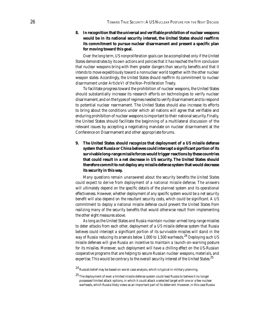**8. In recognition that the universal and verifiable prohibition of nuclear weapons would be in its national security interest, the United States should reaffirm its commitment to pursue nuclear disarmament and present a specific plan for moving toward this goal.**

*Over the long term, US nonproliferation goals can be accomplished only if the United States demonstrates by its own actions and policies that it has reached the firm conclusion* that nuclear weapons bring with them greater dangers than security benefits and that it *intends to move expeditiously toward a nonnuclear world together with the other nuclear*  weapon states. Accordingly, the United States should reaffirm its commitment to nuclear *disarmament under Article VI of the Non-Proliferation Treaty.* 

To facilitate progress toward the prohibition of nuclear weapons, the United States should substantially increase its research efforts on technologies to verify nuclear disarmament, and on the types of regimes needed to verify disarmament and to respond to potential nuclear rearmament. The United States should also increase its efforts to bring about the conditions under which all nations will agree that verifiable and enduring prohibition of nuclear weapons is important to their national security. Finally, the United States should facilitate the beginning of a multilateral discussion of the relevant issues by accepting a negotiating mandate on nuclear disarmament at the Conference on Disarmament and other appropriate forums.

**9. The United States should recognize that deployment of a US missile defense system that Russia or China believes could intercept a significant portion of its survivable long-range missile forces would trigger reactions by these countries that could result in a net decrease in US security. The United States should therefore commit to not deploy any missile defense system that would decrease its security in this way.**

*Many questions remain unanswered about the security benefits the United States could expect to derive from deployment of a national missile defense. The answers*  will ultimately depend on the specific details of the planned system and its operational *effectiveness. However, whether deployment of any specific system would be a net security* benefit will also depend on the resultant security costs, which could be significant. A US *commitment to deploy a national missile defense could prevent the United States from realizing many of the security benefits that would otherwise result from implementing the other eight measures above.*

*As long as the United States and Russia maintain nuclear-armed long-range missiles to deter attacks from each other, deployment of a US missile defense system that Russia*  believes could intercept a significant portion of its survivable missiles will stand in the *way of Russia reducing its arsenals below 1,000 to 1,500 warheads.*2<sup>4</sup>  *Deploying such US missile defenses will give Russia an incentive to maintain a launch-on-warning posture for its missiles. Moreover, such deployment will have a chilling effect on the US-Russian cooperative programs that are helping to secure Russian nuclear weapons, materials, and expertise. This would be contrary to the overall security interest of the United States.*2<sup>5</sup> 

 $^{24}$  Russia's belief may be based on worst-case analysis, which is typical in military planning.

<sup>2</sup><sup>5</sup> The deployment of even a limited missile defense system could lead Russia to believe it no longer possessed limited attack options, in which it could attack a selected target with one or a few nuclear warheads, which Russia likely views as an important part of its deterrent. However, in this case Russia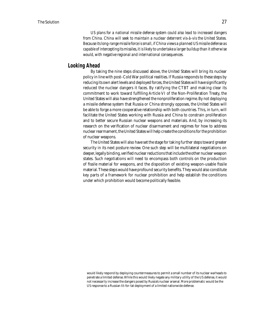*US plans for a national missile defense system could also lead to increased dangers from China. China will seek to maintain a nuclear deterrent vis-à-vis the United States. Because its long-range missile force is small, if China views a planned US missile defense as capable of intercepting its missiles, it is likely to undertake a larger buildup than it otherwise would, with negative regional and international consequences.* 

#### **Looking Ahead**

By taking the nine steps discussed above, the United States will bring its nuclear policy in line with post–Cold War political realities. If Russia responds to these steps by reducing its own alert levels and deployed forces, the United States will have significantly reduced the nuclear dangers it faces. By ratifying the CTBT and making clear its commitment to work toward fulfilling Article VI of the Non-Proliferation Treaty, the United States will also have strengthened the nonproliferation regime. By not deploying a missile defense system that Russia or China strongly opposes, the United States will be able to forge a more cooperative relationship with both countries. This, in turn, will facilitate the United States working with Russia and China to constrain proliferation and to better secure Russian nuclear weapons and materials. And, by increasing its research on the verification of nuclear disarmament and regimes for how to address nuclear rearmament, the United States will help create the conditions for the prohibition of nuclear weapons.

The United States will also have set the stage for taking further steps toward greater security in its next posture review. One such step will be multilateral negotiations on deeper, legally binding, verified nuclear reductions that include the other nuclear weapon states. Such negotiations will need to encompass both controls on the production of fissile material for weapons, and the disposition of existing weapon-usable fissile material. These steps would have profound security benefits. They would also constitute key parts of a framework for nuclear prohibition and help establish the conditions under which prohibition would become politically feasible.

would likely respond by deploying countermeasures to permit a small number of its nuclear warheads to penetrate a limited defense. While this would likely negate any military utility of the US defense, it would not necessarily increase the dangers posed by Russia's nuclear arsenal. More problematic would be the US response to a Russian tit-for-tat deployment of a limited nationwide defense.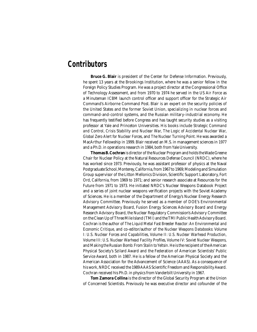### **Contributors**

**Bruce G. Blair** is president of the Center for Defense Information. Previously, he spent 13 years at the Brookings Institution, where he was a senior fellow in the Foreign Policy Studies Program. He was a project director at the Congressional Office of Technology Assessment, and from 1970 to 1974 he served in the US Air Force as a Minuteman ICBM launch control officer and support officer for the Strategic Air Command's Airborne Command Post. Blair is an expert on the security policies of the United States and the former Soviet Union, specializing in nuclear forces and command-and-control systems, and the Russian military-industrial economy. He has frequently testified before Congress and has taught security studies as a visiting professor at Yale and Princeton Universities. His books include *Strategic Command and Control, Crisis Stability and Nuclear War, The Logic of Accidental Nuclear War, Global Zero Alert for Nuclear Forces,* and *The Nuclear Turning Point.* He was awarded a MacArthur Fellowship in 1999. Blair received an M.S. in management sciences in 1977 and a Ph.D. in operations research in 1984, both from Yale University.

**Thomas B. Cochran** is director of the Nuclear Program and holds the Wade Greene Chair for Nuclear Policy at the Natural Resources Defense Council (NRDC), where he has worked since 1973. Previously, he was assistant professor of physics at the Naval Postgraduate School, Monterey, California, from 1967 to 1969; Modeling and Simulation Group supervisor of the Litton Mellonics Division, Scientific Support Laboratory, Fort Ord, California, from 1969 to 1971; and senior research associate at Resources for the Future from 1971 to 1973. He initiated NRDC's Nuclear Weapons Databook Project and a series of joint nuclear weapons verification projects with the Soviet Academy of Sciences. He is a member of the Department of Energy's Nuclear Energy Research Advisory Committee. Previously he served as a member of DOE's Environmental Management Advisory Board, Fusion Energy Sciences Advisory Board and Energy Research Advisory Board, the Nuclear Regulatory Commission's Advisory Committee on the Clean Up of Three Mile Island (TMI) and the TMI Public Health Advisory Board. Cochran is the author of *The Liquid Metal Fast Breeder Reactor: An Environmental and Economic Critique,* and co-editor/author of the *Nuclear Weapons Databooks: Volume I: U.S. Nuclear Forces and Capabilities, Volume II: U.S. Nuclear Warhead Production, Volume III: U.S. Nuclear Warhead Facility Profiles, Volume IV: Soviet Nuclear Weapons,* and *Making the Russian Bomb: From Stalin to Yeltsin.* He is the recipient of the American Physical Society's Szilard Award and the Federation of American Scientists' Public Service Award, both in 1987. He is a fellow of the American Physical Society and the American Association for the Advancement of Science (AAAS). As a consequence of his work, NRDC received the 1989 AAAS Scientific Freedom and Responsibility Award. Cochran received his Ph.D. in physics from Vanderbilt University in 1967.

**Tom Zamora Collina** is the director of the Global Security Program at the Union of Concerned Scientists. Previously he was executive director and cofounder of the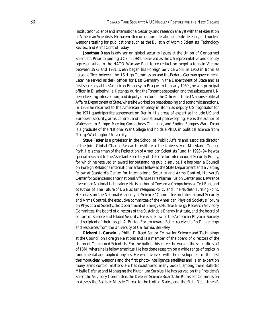Institute for Science and International Security, and research analyst with the Federation of American Scientists. He has written on nonproliferation, missile defense, and nuclear weapons testing for publications such as the *Bulletin of Atomic Scientists, Technology Review,* and *Arms Control Today.* 

**Jonathan Dean** is advisor on global security issues at the Union of Concerned Scientists. Prior to joining UCS in 1984, he served as the US representative and deputy representative to the NATO-Warsaw Pact force reduction negotiations in Vienna between 1973 and 1981. Dean began his Foreign Service work in 1950 in Bonn as liaison officer between the US High Commission and the Federal German government. Later he served as desk officer for East Germany in the Department of State and as first secretary at the American Embassy in Prague. In the early 1960s, he was principal officer in Elisabethville, Katanga, during the Tshombe secession and the subsequent UN peacekeeping intervention, and deputy director of the Office of United Nations Political Affairs, Department of State, where he worked on peacekeeping and economic sanctions. In 1968 he returned to the American embassy in Bonn as deputy US negotiator for the 1971 quadripartite agreement on Berlin. His areas of expertise include US and European security, arms control, and international peacekeeping. He is the author of *Watershed in Europe, Meeting Gorbachev's Challenge,* and *Ending Europe's Wars.* Dean is a graduate of the National War College and holds a Ph.D. in political science from George Washington University.

**Steve Fetter** is a professor in the School of Public Affairs and associate director of the Joint Global Change Research Institute at the University of Maryland, College Park. He is chairman of the Federation of American Scientists Fund. In 1993–94, he was special assistant to the Assistant Secretary of Defense for International Security Policy, for which he received an award for outstanding public service. He has been a Council on Foreign Relations international affairs fellow at the State Department and a visiting fellow at Stanford's Center for International Security and Arms Control, Harvard's Center for Science and International Affairs, MIT's Plasma Fusion Center, and Lawrence Livermore National Laboratory. He is author of *Toward a Comprehensive Test Ban,* and coauthor of *The Future of US Nuclear Weapons Policy* and *The Nuclear Turning Point.*  He serves on the National Academy of Sciences' Committee on International Security and Arms Control, the executive committee of the American Physical Society's Forum on Physics and Society, the Department of Energy's Nuclear Energy Research Advisory Committee, the board of directors of the Sustainable Energy Institute, and the board of editors of *Science and Global Security.* He is a fellow of the American Physical Society and recipient of their Joseph A. Burton Forum Award. Fetter received a Ph.D. in energy and resources from the University of California, Berkeley.

**Richard L. Garwin** is Philip D. Reed Senior Fellow for Science and Technology at the Council on Foreign Relations and is a member of the board of directors of the Union of Concerned Scientists. For the bulk of his career he was on the scientific staff of IBM, where he is fellow emeritus. He has done research on a wide range of topics in fundamental and applied physics. He was involved with the development of the first thermonuclear weapons and the first photo-intelligence satellites and is an expert on many arms control matters. He has coauthored many books, among them *Ballistic Missile Defense* and *Managing the Plutonium Surplus.* He has served on the President's Scientific Advisory Committee, the Defense Science Board, the Rumsfeld Commission to Assess the Ballistic Missile Threat to the United States, and the State Department's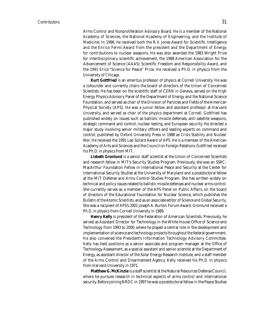Arms Control and Nonproliferation Advisory Board. He is a member of the National Academy of Sciences, the National Academy of Engineering, and the Institute of Medicine. In 1996, he received both the R.V. Jones Award for Scientific Intelligence and the Enrico Fermi Award from the president and the Department of Energy for contributions to nuclear weapons. He was also awarded the 1983 Wright Prize for interdisciplinary scientific achievement, the 1988 American Association for the Advancement of Science (AAAS) Scientific Freedom and Responsibility Award, and the 1991 Erice "Science for Peace" Prize. He received a Ph.D. in physics from the University of Chicago.

**Kurt Gottfried** is an emeritus professor of physics at Cornell University. He was a cofounder and currently chairs the board of directors of the Union of Concerned Scientists. He has been on the scientific staff of CERN in Geneva, served on the High Energy Physics Advisory Panel of the Department of Energy and the National Science Foundation, and served as chair of the Division of Particles and Fields of the American Physical Society (APS). He was a junior fellow and assistant professor at Harvard University, and served as chair of the physics department at Cornell. Gottfried has published widely on issues such as ballistic missile defenses, anti-satellite weapons, strategic command and control, nuclear testing, and European security. He directed a major study involving senior military officers and leading experts on command and control, published by Oxford University Press in 1988 as *Crisis Stability and Nuclear War.* He received the 1991 Leo Szilard Award of APS. He is a member of the American Academy of Arts and Sciences and the Council on Foreign Relations. Gottfried received his Ph.D. in physics from MIT.

**Lisbeth Gronlund** is a senior staff scientist at the Union of Concerned Scientists and research fellow in MIT's Security Studies Program. Previously, she was an SSRC-MacArthur Foundation Fellow in International Peace and Security at the Center for International Security Studies at the University of Maryland and a postdoctoral fellow at the MIT Defense and Arms Control Studies Program. She has written widely on technical and policy issues related to ballistic missile defenses and nuclear arms control. She currently serves as a member of the APS Panel on Public Affairs, on the board of directors of the Educational Foundation for Nuclear Science, which publishes the *Bulletin of the Atomic Scientists,* and as an associate editor of *Science and Global Security.*  She was a recipient of APS's 2001 Joseph A. Burton Forum Award. Gronlund received a Ph.D. in physics from Cornell University in 1989.

**Henry Kelly** is president of the Federation of American Scientists. Previously, he served as Assistant Director for Technology in the White House Office of Science and Technology from 1993 to 2000, where he played a central role in the development and implementation of science and technology projects throughout the federal government. He also convened the President's Information Technology Advisory Committee. Kelly has held positions as a senior associate and program manager at the Office of Technology Assessment, as a special assistant and senior scientist at the Department of Energy, as assistant director of the Solar Energy Research Institute, and a staff member of the Arms Control and Disarmament Agency. Kelly received his Ph.D. in physics from Harvard University in 1971.

**Matthew G. McKinzie** is a staff scientist at the Natural Resources Defense Council, where he pursues research in technical aspects of arms control and international security. Before joining NRDC in 1997 he was a postdoctoral fellow in the Peace Studies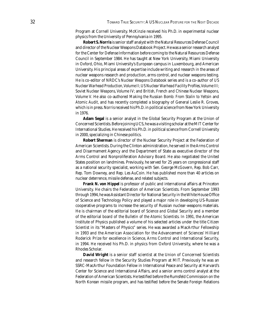Program at Cornell University. McKinzie received his Ph.D. in experimental nuclear physics from the University of Pennsylvania in 1995.

**Robert S. Norris** is senior staff analyst with the Natural Resources Defense Council and director of the Nuclear Weapons Databook Project. He was a senior research analyst for the Center for Defense Information before coming to the Natural Resources Defense Council in September 1984. He has taught at New York University, Miami University in Oxford, Ohio, Miami University's European campus in Luxembourg, and American University. His principal areas of expertise include writing and research in the areas of nuclear weapons research and production, arms control, and nuclear weapons testing. He is co-editor of NRDC's *Nuclear Weapons Databook* series and is a co-author of *US Nuclear Warhead Production, Volume II; US Nuclear Warhead Facility Profi les, Volume III; Soviet Nuclear Weapons, Volume IV;* and *British, French and Chinese Nuclear Weapons, Volume V.* He also co-authored *Making the Russian Bomb: From Stalin to Yeltsin* and *Atomic Audit,* and has recently completed a biography of General Leslie R. Groves, which is in press. Norris received his Ph.D. in political science from New York University in 1976.

**Adam Segal** is a senior analyst in the Global Security Program at the Union of Concerned Scientists. Before joining UCS, he was a visiting scholar at the MIT Center for International Studies. He received his Ph.D. in political science from Cornell University in 2000, specializing in Chinese politics.

**Robert Sherman** is director of the Nuclear Security Project at the Federation of American Scientists. During the Clinton administration, he served in the Arms Control and Disarmament Agency and the Department of State as executive director of the Arms Control and Nonproliferation Advisory Board. He also negotiated the United States position on landmines. Previously, he served for 25 years on congressional staff as a national security specialist, working with Sen. George McGovern, Rep. Bob Carr, Rep. Tom Downey, and Rep. Les AuCoin. He has published more than 40 articles on nuclear deterrence, missile defense, and related subjects.

**Frank N. von Hippel** is professor of public and international affairs at Princeton University. He chairs the Federation of American Scientists. From September 1993 through 1994, he was Assistant Director for National Security in the White House Office of Science and Technology Policy and played a major role in developing US-Russian cooperative programs to increase the security of Russian nuclear-weapons materials. He is chairman of the editorial board of *Science and Global Security* and a member of the editorial board of the *Bulletin of the Atomic Scientists.* In 1991, the American Institute of Physics published a volume of his selected articles under the title *Citizen Scientist* in its "Masters of Physics" series. He was awarded a MacArthur Fellowship in 1993 and the American Association for the Advancement of Sciences' Hilliard Roderick Prize for excellence in Science, Arms Control and International Security, in 1994. He received his Ph.D. in physics from Oxford University, where he was a Rhodes Scholar.

**David Wright** is a senior staff scientist at the Union of Concerned Scientists and research fellow in the Security Studies Program at MIT. Previously he was an SSRC-MacArthur Foundation Fellow in International Peace and Security at Harvard's Center for Science and International Affairs, and a senior arms control analyst at the Federation of American Scientists. He testified before the Rumsfeld Commission on the North Korean missile program, and has testified before the Senate Foreign Relations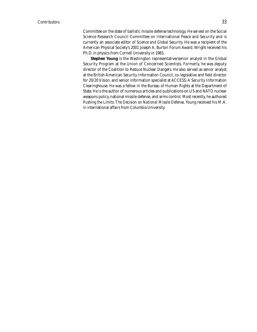Committee on the state of ballistic missile defense technology. He served on the Social Science Research Council Committee on International Peace and Security and is currently an associate editor of *Science and Global Security.* He was a recipient of the American Physical Society's 2001 Joseph A. Burton Forum Award. Wright received his Ph.D. in physics from Cornell University in 1983.

**Stephen Young** is the Washington representative/senior analyst in the Global Security Program at the Union of Concerned Scientists. Formerly, he was deputy director of the Coalition to Reduce Nuclear Dangers. He also served as senior analyst at the British American Security Information Council, co-legislative and field director for 20/20 Vision, and senior information specialist at ACCESS: A Security Information Clearinghouse. He was a fellow in the Bureau of Human Rights at the Department of State. He is the author of numerous articles and publications on US and NATO nuclear weapons policy, national missile defense, and arms control. Most recently, he authored *Pushing the Limits: The Decision on National Missile Defense.* Young received his M.A. in international affairs from Columbia University.